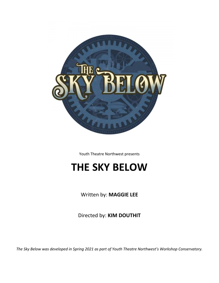

Youth Theatre Northwest presents

# **THE SKY BELOW**

Written by: **MAGGIE LEE**

Directed by: **KIM DOUTHIT**

*The Sky Below was developed in Spring 2021 as part of Youth Theatre Northwest's Workshop Conservatory.*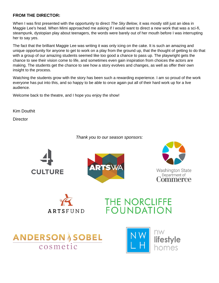### **FROM THE DIRECTOR:**

When I was first presented with the opportunity to direct *The Sky Below*, it was mostly still just an idea in Maggie Lee's head. When Mimi approached me asking if I would want to direct a new work that was a sci-fi, steampunk, dystopian play about teenagers, the words were barely out of her mouth before I was interrupting her to say yes.

The fact that the brilliant Maggie Lee was writing it was only icing on the cake. It is such an amazing and unique opportunity for anyone to get to work on a play from the ground up, that the thought of getting to do that with a group of our amazing students seemed like too good a chance to pass up. The playwright gets the chance to see their vision come to life, and sometimes even gain inspiration from choices the actors are making. The students get the chance to see how a story evolves and changes, as well as offer their own insight to the process.

Watching the students grow with the story has been such a rewarding experience. I am so proud of the work everyone has put into this, and so happy to be able to once again put all of their hard work up for a live audience.

Welcome back to the theatre, and I hope you enjoy the show!

Kim Douthit

**Director** 

*Thank you to our season sponsors:*













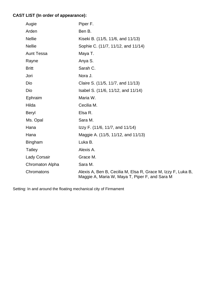## **CAST LIST (In order of appearance):**

| Augie               | Piper F.                                                                                                       |
|---------------------|----------------------------------------------------------------------------------------------------------------|
| Arden               | Ben B.                                                                                                         |
| <b>Nellie</b>       | Kiseki B. (11/5, 11/6, and 11/13)                                                                              |
| <b>Nellie</b>       | Sophie C. (11/7, 11/12, and 11/14)                                                                             |
| <b>Aunt Tessa</b>   | Maya T.                                                                                                        |
| Rayne               | Anya S.                                                                                                        |
| <b>Britt</b>        | Sarah C.                                                                                                       |
| Jori                | Nora J.                                                                                                        |
| Dio                 | Claire S. (11/5, 11/7, and 11/13)                                                                              |
| Dio                 | Isabel S. (11/6, 11/12, and 11/14)                                                                             |
| Ephraim             | Maria W.                                                                                                       |
| Hilda               | Cecilia M.                                                                                                     |
| Beryl               | Elsa R.                                                                                                        |
| Ms. Opal            | Sara M.                                                                                                        |
| Hana                | Izzy F. (11/6, 11/7, and 11/14)                                                                                |
| Hana                | Maggie A. (11/5, 11/12, and 11/13)                                                                             |
| Bingham             | Luka B.                                                                                                        |
| <b>Tatley</b>       | Alexis A.                                                                                                      |
| <b>Lady Corsair</b> | Grace M.                                                                                                       |
| Chromaton Alpha     | Sara M.                                                                                                        |
| Chromatons          | Alexis A, Ben B, Cecilia M, Elsa R, Grace M, Izzy F, Luka B,<br>Maggie A, Maria W, Maya T, Piper F, and Sara M |

Setting: In and around the floating mechanical city of Firmament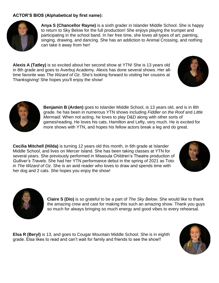### **ACTOR'S BIOS (Alphabetical by first name):**



**Anya S (Chancellor Rayne)** is a sixth grader in Islander Middle School. She is happy to return to Sky Below for the full production! She enjoys playing the trumpet and participating in the school band. In her free time, she loves all types of art; painting, singing, drawing, and dancing. She has an addiction to Animal Crossing, and nothing can take it away from her!

**Alexis A (Tatley)** is so excited about her second show at YTN! She is 13 years old in 8th grade and goes to Averbuj Academy. Alexis has done several shows. Her alltime favorite was *The Wizard of Oz*. She's looking forward to visiting her cousins at Thanksgiving! She hopes you'll enjoy the show!





**Benjamin B (Arden)** goes to Islander Middle School, is 13 years old, and is in 8th grade. he has been in numerous YTN shows including *Fiddler on the Roof* and *Little Mermaid*. When not acting, he loves to play D&D along with other sorts of games/reading. He loves his cats, Hamilton and Lefty, very much. He is excited for more shows with YTN, and hopes his fellow actors break a leg and do great.

**Cecilia Mitchell (Hilda)** is turning 12 years old this month, in 6th grade at Islander Middle School, and lives on Mercer Island. She has been taking classes at YTN for several years. She previously performed in Missoula Children's Theatre production of *Gulliver's Travels*. She had her YTN performance debut in the spring of 2021 as Toto in *The Wizard of Oz*. She is an avid reader who loves to draw and spends time with her dog and 2 cats. She hopes you enjoy the show!





**Claire S (Dio)** is so grateful to be a part of *The Sky Below*. She would like to thank the amazing crew and cast for making this such an amazing show. Thank you guys so much for always bringing so much energy and good vibes to every rehearsal.

**Elsa R (Beryl)** is 13, and goes to Cougar Mountain Middle School. She is in eighth grade. Elsa likes to read and can't wait for family and friends to see the show!!

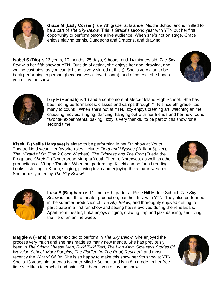

**Grace M (Lady Corsair)** is a 7th grader at Islander Middle School and is thrilled to be a part of *The Sky Below*. This is Grace's second year with YTN but her first opportunity to perform before a live audience. When she's not on stage, Grace enjoys playing tennis, Dungeons and Dragons, and drawing.

**Isabel S (Dio)** is 13 years, 10 months, 25 days, 9 hours, and 14 minutes old. *The Sky Below* is her fifth show at YTN. Outside of acting, she enjoys her dog, drawing, and writing cast bios, as you can tell she is very skilled at this ;). She is very glad to be back performing in person, (because we all loved zoom), and of course, she hopes you enjoy the show!





**Izzy F (Hannah)** is 16 and a sophomore at Mercer Island High School. She has been doing performances, classes and camps through YTN since 5th grade- too many to count!! When she's not at YTN, Izzy enjoys creating art, watching anime, critiquing movies, singing, dancing, hanging out with her friends and her new found favorite- experimental baking! Izzy is very thankful to be part of this show for a second time!

**Kiseki B (Nellie Hargrave)** is elated to be performing in her 5th show at Youth Theatre Northwest. Her favorite roles include: *Flora and Ulysses* (William Spiver), *The Wizard of Oz* (The 2 Good Witches), *The Princess and The Frog* (Frieda the Frog), and *Shrek Jr* (Gingerbread Man) at Youth Theatre Northwest as well as other productions at Village Theatre. When not performing, Kiseki can be found reading books, listening to K-pop, singing, playing trivia and enjoying the autumn weather! She hopes you enjoy *The Sky Below*!





**Luka B (Bingham)** is 11 and a 6th grader at Rose Hill Middle School. *The Sky Below* is their third theater production, but their first with YTN. They also performed in the summer production of *The Sky Below*, and thoroughly enjoyed getting to participate in a first run show and seeing how it evolved during the rehearsals. Apart from theater, Luka enjoys singing, drawing, tap and jazz dancing, and living the life of an anime weeb.

**Maggie A (Hana)** is super excited to perform in *The Sky Below*. She enjoyed the process very much and she has made so many new friends. She has previously been in *The Stinky Cheese Man, Rikki Tikki Tavi, The Lion King, Sideways Stories Of Wayside School, Mary Poppins, The Fiddler On The Roof, Rescued*, and most recently the *Wizard Of Oz.* She is so happy to make this show her 9th show at YTN. She is 13 years old, attends Islander Middle School, and is in 8th grade. In her free time she likes to crochet and paint. She hopes you enjoy the show!

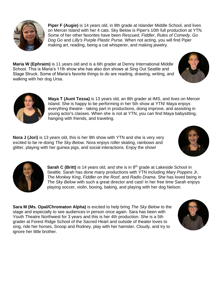

**Piper F (Augie)** is 14 years old, in 8th grade at Islander Middle School, and lives on Mercer Island with her 4 cats. Sky Below is Piper's 10th full production at YTN. Some of her other favorites have been *Rescued*, *Fiddler*, *Rules of Comedy*, *Go Dog Go* and *Lilly's Purple Plastic Purse*. When not acting, you will find Piper making art, reading, being a cat whisperer, and making jewelry.

**Maria W (Ephraim)** is 11 years old and is a 6th grader at Denny International Middle School. This is Maria's 11th show she has also don shows at Sing Out Seattle and Stage Struck. Some of Maria's favorite things to do are reading, drawing, writing, and walking with her dog Ursa.





**Maya T (Aunt Tessa)** is 13 years old, an 8th grader at IMS, and lives on Mercer Island. She is happy to be performing in her 5th show at YTN! Maya enjoys everything theatre - taking part in productions, doing improve, and assisting in young actor's classes. When she is not at YTN, you can find Maya babysitting, hanging with friends, and traveling.

**Nora J (Jori)** is 13 years old, this is her 9th show with YTN and she is very very excited to be re-doing *The Sky Below*. Nora enjoys roller skating, rainbows and glitter, playing with her guinea pigs, and social interactions. Enjoy the show!



**Sarah C (Britt)** is 14 years old, and she is in 8<sup>th</sup> grade at Lakeside School in Seattle. Sarah has done many productions with YTN including *Mary Poppins Jr*, *The Monkey King*, *Fiddler on the Roof*, and *Radio Drama*. She has loved being in *The Sky Below* with such a great director and cast! In her free time Sarah enjoys playing soccer, violin, boxing, baking, and playing with her dog Nelson.

**Sara M (Ms. Opal/Chromaton Alpha)** is excited to help bring *The Sky Below* to the stage and especially to see audiences in person once again. Sara has been with Youth Theatre Northwest for 3 years and this is her 4th production. She is a 5th grader at Forest Ridge School of the Sacred Heart and outside of theater loves to sing, ride her horses, Snoop and Rodney, play with her hamster, Cloudy, and try to ignore her little brother.



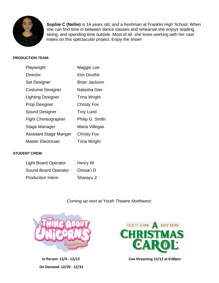

**Sophie C (Nellie)** is 14 years old, and a freshman at Franklin High School. When she can find time in between dance classes and rehearsal she enjoys reading, skiing, and spending time outside. Most of all, she loves working with her cast mates on this spectacular project. Enjoy the show!

### **PRODUCTION TEAM:**

| Playwright                 | Maggie Lee           |
|----------------------------|----------------------|
| <b>Director</b>            | <b>Kim Douthit</b>   |
| Set Designer               | <b>Brian Jackson</b> |
| <b>Costume Designer</b>    | Natasha Gier         |
| <b>Lighting Designer</b>   | <b>Trina Wright</b>  |
| <b>Prop Designer</b>       | <b>Christy Fox</b>   |
| Sound Designer             | <b>Troy Lund</b>     |
| <b>Fight Choreographer</b> | Philip G. Smith      |
| Stage Manager              | Maria Villegas       |
| Assistant Stage Manger     | <b>Christy Fox</b>   |
| Master Electrician         | <b>Trina Wright</b>  |

### **STUDENT CREW:**

| <b>Light Board Operator</b> | Henry W   |
|-----------------------------|-----------|
| <b>Sound Board Operator</b> | Onosa'i D |
| <b>Production Intern</b>    | Sharayu Z |

### *Coming up next at Youth Theatre Northwest:*



**On Demand: 12/20 - 12/31**



 **In Person: 12/4 - 12/12 Live Streaming 12/12 at 6:00pm**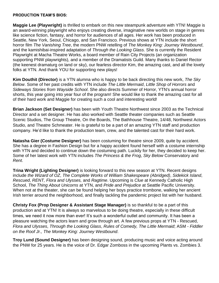### **PRODUCTION TEAM'S BIOS:**

**Maggie Lee (Playwright)** is thrilled to embark on this new steampunk adventure with YTN! Maggie is an award-winning playwright who enjoys creating diverse, imaginative new worlds on stage in genres like science fiction, fantasy, and horror for audiences of all ages. Her work has been produced in Seattle, New York, Seoul, Chicago, and San Francisco. Previous shows at YTN include the short horror film *The Vanishing Tree*, the modern PNW retelling of *The Monkey King: Journey Westbound*, and the kamishibai-inspired adaptation of *Through the Looking Glass*. She is currently the Resident Playwright at Macha Theatre Works, a board member of Rain City Projects (an organization supporting PNW playwrights), and a member of the Dramatists Guild. Many thanks to Daniel Rector (the keenest dramaturg on land or sky), our fearless director Kim, the amazing cast, and all the lovely folks at YTN. And thank YOU for supporting new plays!

**Kim Douthit (Director)** is a YTN alumna who is happy to be back directing this new work, *The Sky Below*. Some of her past credits with YTN include *The Little Mermaid*, *Little Shop of Horrors* and *Sideways Stories from Wayside School*. She also directs Summer of Horror, YTN's annual horror shorts, this year going into year four of the program! She would like to thank the amazing cast for all of their hard work and Maggie for creating such a cool and interesting world!

**Brian Jackson (Set Designer)** has been with Youth Theatre Northwest since 2003 as the Technical Director and a set designer. He has also worked with Seattle theater companies such as Seattle Scenic Studios, The Group Theatre, On the Boards, The Bathhouse Theatre, 14/48, Northwest Actors Studio, and Theatre Schmeater. He is grateful to be a part of an amazing YTN staff and production company. He'd like to thank the production team, crew, and the talented cast for their hard work.

**Natasha Gier (Costume Designer)** has been costuming for theatre since 2009, quite by accident. She has a degree in Fashion Design but for a happy accident found herself with a costume internship with YTN and decided to continue down the costuming path. Luckily for her, they decided to keep her. Some of her latest work with YTN includes *The Princess & the Frog*, *Sky Below* Conservatory and *Rent*.

**Trina Wright (Lighting Designer)** is looking forward to this new season at YTN. Recent designs include *the Wizard of OZ*, *The Complete Works of William Shakespeare (Abridged)*, *Sidekick Island*, *Rescued*, *RENT, Flora and Ulysses,* and *Ragtime*. Upcoming is *Clue* at Kennedy Catholic High School, *The Thing About Unicorns* at YTN, and *Pride and Prejudice* at Seattle Pacific University. When not at the theater, she can be found helping her boys practice trombone, walking her ancient Irish terrier around the neighborhood, and finally tackling the pandemic project list with her husband.

**Christy Fox (Prop Designer & Assistant Stage Manager)** is so thankful to be a part of this production and at YTN! It is always so marvelous to be doing theatre, especially in these difficult times, we need it now more than ever! It's such a wonderful outlet and community. It has been a pleasure watching the actors learn and grow through art. A few previous props at YTN - Rescued, *Flora and Ulysses*, *Through the Looking Glass*, *Rules of Comedy, The Little Mermaid*; ASM - *Fiddler on the Roof Jr., The Monkey King: Journey Westbound*.

**Troy Lund (Sound Designer)** has been designing sound, producing music and voice acting around the PNW for 25 years. He is the voice of Dr. Edgar Zomboss in the upcoming Plants vs. Zombies 3.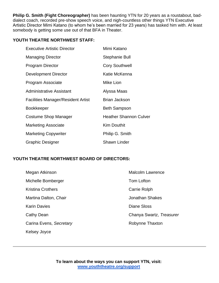**Philip G. Smith (Fight Choreographer)** has been haunting YTN for 20 years as a roustabout, baddialect coach, recorded pre-show speech voice, and nigh-countless other things YTN Executive Artistic Director Mimi Katano (to whom he's been married for 23 years) has tasked him with. At least somebody is getting some use out of that BFA in Theater.

### **YOUTH THEATRE NORTHWEST STAFF:**

| <b>Executive Artistic Director</b>        | Mimi Katano                   |
|-------------------------------------------|-------------------------------|
| <b>Managing Director</b>                  | Stephanie Bull                |
| <b>Program Director</b>                   | <b>Cory Southwell</b>         |
| <b>Development Director</b>               | Katie McKenna                 |
| Program Associate                         | Mike Lion                     |
| Administrative Assistant                  | Alyssa Maas                   |
| <b>Facilities Manager/Resident Artist</b> | <b>Brian Jackson</b>          |
| <b>Bookkeeper</b>                         | <b>Beth Sampson</b>           |
| Costume Shop Manager                      | <b>Heather Shannon Culver</b> |
| <b>Marketing Associate</b>                | <b>Kim Douthit</b>            |
| <b>Marketing Copywriter</b>               | Philip G. Smith               |
| <b>Graphic Designer</b>                   | <b>Shawn Linder</b>           |

### **YOUTH THEATRE NORTHWEST BOARD OF DIRECTORS:**

| Megan Atkinson           | <b>Malcolm Lawrence</b>  |
|--------------------------|--------------------------|
| Michelle Bomberger       | Tom Lofton               |
| <b>Kristina Crothers</b> | Carrie Rolph             |
| Martina Dalton, Chair    | <b>Jonathan Shakes</b>   |
| <b>Karin Davies</b>      | Diane Sloss              |
| Cathy Dean               | Chanya Swartz, Treasurer |
| Carina Evens, Secretary  | Robynne Thaxton          |
| Kelsey Joyce             |                          |